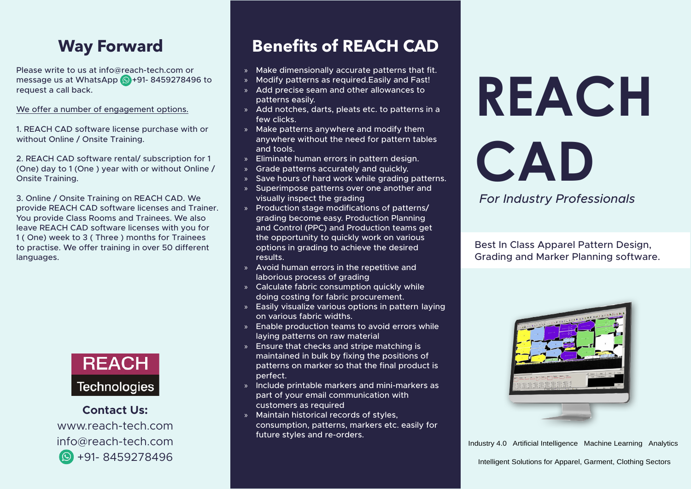## **Way Forward**

Please write to us at info  $@$  reach-tech.com or message us at WhatsApp  $\bigcirc$  +91- 8459278496 to request a call back.

We offer a number of engagement options.

1. REACH CAD software license purchase with or without Online / Onsite Training.

2. REACH CAD software rental/ subscription for 1 (One) day to 1 (One) year with or without Online  $/$ Onsite Training.

3. Online / Onsite Training on REACH CAD. We provide REACH CAD software licenses and Trainer. You provide Class Rooms and Trainees. We also leave REACH CAD software licenses with you for 1 (One) week to 3 (Three) months for Trainees to practise. We offer training in over 50 different languages.



**Contact Us:** www.reach-tech.com info@reach-tech.com 8459278496 +91-

## **Benefits of REACH CAD**

- » Make dimensionally accurate patterns that fit.
- » Modify patterns as required. Easily and Fast!
- » Add precise seam and other allowances to patterns easily.
- » Add notches, darts, pleats etc. to patterns in a few clicks.
- $\lambda$  Make patterns anywhere and modify them anywhere without the need for pattern tables and tools.
- » Eliminate human errors in pattern design.
- » Grade patterns accurately and quickly.
- » Save hours of hard work while grading patterns.
- » Superimpose patterns over one another and visually inspect the grading
- » Production stage modifications of patterns/ grading become easy. Production Planning and Control (PPC) and Production teams get the opportunity to quickly work on various options in grading to achieve the desired .results
- » Avoid human errors in the repetitive and laborious process of grading
- » Calculate fabric consumption quickly while doing costing for fabric procurement.
- » Easily visualize various options in pattern laying on various fabric widths.
- » Enable production teams to avoid errors while laying patterns on raw material
- » Ensure that checks and stripe matching is maintained in bulk by fixing the positions of patterns on marker so that the final product is .perfect
- » Include printable markers and mini-markers as part of your email communication with customers as required
- » Maintain historical records of styles. consumption, patterns, markers etc. easily for future styles and re-orders.

## **REACH CAD**

*For Industry Professionals* 

Best In Class Apparel Pattern Design, Grading and Marker Planning software.



Industry 4.0 Artificial Intelligence Machine Learning Analytics<br>Intelligent Solutions for Apparel. Garment. Clothing Sectors